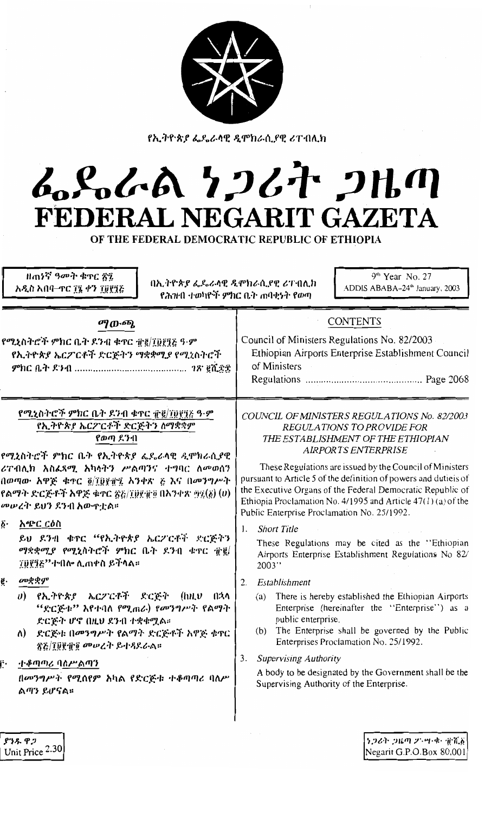

የኢትዮጵያ ፌዴራላዊ ዲሞክራሲያዊ ሪፐ በሊክ

## んらんあ りつびれ つはの FEDERAL NEGARIT GAZETA

OF THE FEDERAL DEMOCRATIC REPUBLIC OF ETHIOPIA

ዘጠነኛ ዓመት ቁጥር ፳፯ አዲስ አበባ–ተር ፲፮ ቀን ፲፱፻፺፭

ያንዱ ዋጋ Unit Price 2.30 በኢትዮጵያ ፌዴራላዊ ዲሞክራሲያዊ ሪፐብሊክ የሕዝብ ተወካዮች ምክር ቤት ጠባቂነት የወጣ

9<sup>th</sup> Year No. 27 ADDIS ABABA-24<sup>th</sup> January, 2003

| Council of Ministers Regulations No. 82/2003<br>Ethiopian Airports Enterprise Establishment Council<br>of Ministers                                                                                                                                                                                                                                                                                                                                                                                                                                                                                                                                                                                                                                                                                                                                                                                                                                                                              |
|--------------------------------------------------------------------------------------------------------------------------------------------------------------------------------------------------------------------------------------------------------------------------------------------------------------------------------------------------------------------------------------------------------------------------------------------------------------------------------------------------------------------------------------------------------------------------------------------------------------------------------------------------------------------------------------------------------------------------------------------------------------------------------------------------------------------------------------------------------------------------------------------------------------------------------------------------------------------------------------------------|
| COUNCIL OF MINISTERS REGULATIONS No. 82/2003<br>REGULATIONS TO PROVIDE FOR<br>THE ESTABLISHMENT OF THE ETHIOPIAN<br><b>AIRPORTS ENTERPRISE</b><br>These Regulations are issued by the Council of Ministers<br>pursuant to Article 5 of the definition of powers and dutiels of<br>the Executive Organs of the Federal Democratic Republic of<br>Ethiopia Proclamation No. 4/1995 and Article $47(1)(a)$ of the<br>Public Enterprise Proclamation No. 25/1992.<br><b>Short Title</b><br>These Regulations may be cited as the "Ethiopian<br>Airports Enterprise Establishment Regulations No 82/<br>2003"<br>Establishment<br>(a) There is hereby established the Ethiopian Airports<br>Enterprise (hereinafter the "Enterprise") as a<br>public enterprise.<br>(b) The Enterprise shall be governed by the Public<br>Enterprises Proclamation No. 25/1992.<br><b>Supervising Authority</b><br>A body to be designated by the Government shall be the<br>Supervising Authority of the Enterprise. |
|                                                                                                                                                                                                                                                                                                                                                                                                                                                                                                                                                                                                                                                                                                                                                                                                                                                                                                                                                                                                  |